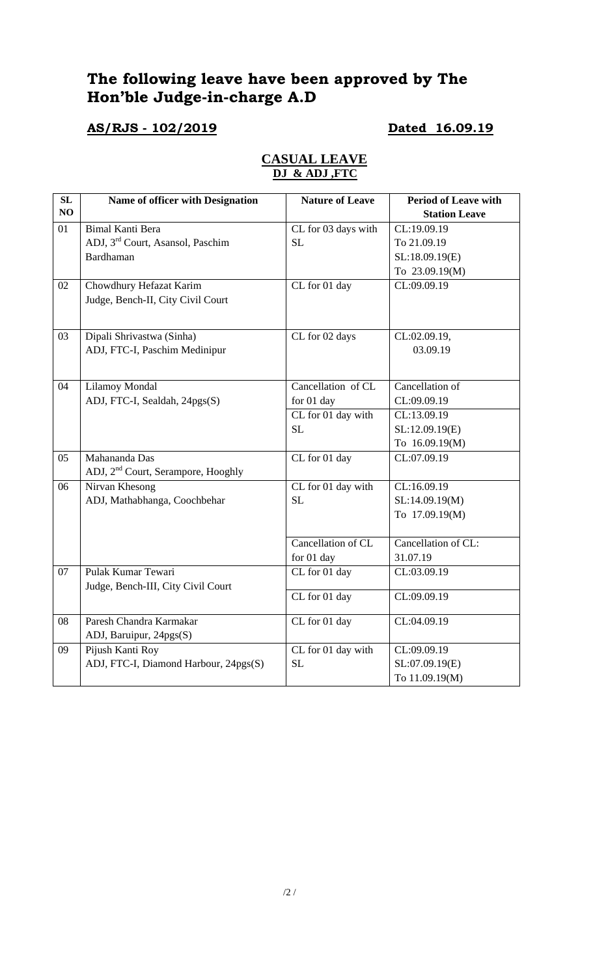# **The following leave have been approved by The Hon'ble Judge-in-charge A.D**

# **AS/RJS - 102/2019 Dated 16.09.19**

| $\overline{\text{SL}}$ | Name of officer with Designation               | <b>Nature of Leave</b>            | <b>Period of Leave with</b> |
|------------------------|------------------------------------------------|-----------------------------------|-----------------------------|
| NO                     |                                                |                                   | <b>Station Leave</b>        |
| 01                     | <b>Bimal Kanti Bera</b>                        | CL for 03 days with               | CL:19.09.19                 |
|                        | ADJ, 3rd Court, Asansol, Paschim               | SL                                | To 21.09.19                 |
|                        | Bardhaman                                      |                                   | SL:18.09.19(E)              |
|                        |                                                |                                   | To 23.09.19(M)              |
| 02                     | Chowdhury Hefazat Karim                        | CL for 01 day                     | CL:09.09.19                 |
|                        | Judge, Bench-II, City Civil Court              |                                   |                             |
|                        |                                                |                                   |                             |
| 03                     | Dipali Shrivastwa (Sinha)                      | CL for 02 days                    | CL:02.09.19,                |
|                        | ADJ, FTC-I, Paschim Medinipur                  |                                   | 03.09.19                    |
|                        |                                                |                                   |                             |
| 04                     | <b>Lilamoy Mondal</b>                          | Cancellation of CL                | Cancellation of             |
|                        | ADJ, FTC-I, Sealdah, 24pgs(S)                  | for 01 day                        | CL:09.09.19                 |
|                        |                                                | CL for 01 day with                | CL:13.09.19                 |
|                        |                                                | SL                                | SL:12.09.19(E)              |
|                        |                                                |                                   | To 16.09.19(M)              |
| 05                     | Mahananda Das                                  | $\overline{\text{CL}}$ for 01 day | CL:07.09.19                 |
|                        | ADJ, 2 <sup>nd</sup> Court, Serampore, Hooghly |                                   |                             |
| 06                     | Nirvan Khesong                                 | CL for 01 day with                | CL:16.09.19                 |
|                        | ADJ, Mathabhanga, Coochbehar                   | <b>SL</b>                         | SL:14.09.19(M)              |
|                        |                                                |                                   | To 17.09.19(M)              |
|                        |                                                |                                   |                             |
|                        |                                                | Cancellation of CL                | Cancellation of CL:         |
|                        |                                                | for 01 day                        | 31.07.19                    |
| 07                     | Pulak Kumar Tewari                             | CL for 01 day                     | CL:03.09.19                 |
|                        | Judge, Bench-III, City Civil Court             |                                   |                             |
|                        |                                                | CL for 01 day                     | CL:09.09.19                 |
| 08                     | Paresh Chandra Karmakar                        | CL for 01 day                     | CL:04.09.19                 |
|                        | ADJ, Baruipur, 24pgs(S)                        |                                   |                             |
| 09                     | Pijush Kanti Roy                               | CL for 01 day with                | CL:09.09.19                 |
|                        | ADJ, FTC-I, Diamond Harbour, 24pgs(S)          | SL                                | SL:07.09.19(E)              |
|                        |                                                |                                   | To 11.09.19(M)              |

## **CASUAL LEAVE DJ & ADJ ,FTC**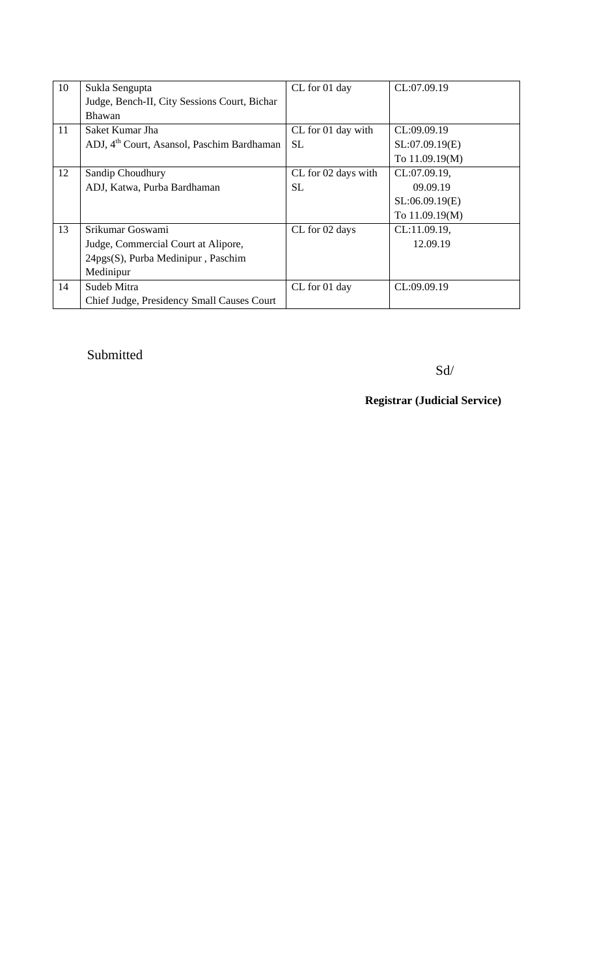| 10 | Sukla Sengupta                                         | CL for 01 day       | CL:07.09.19    |
|----|--------------------------------------------------------|---------------------|----------------|
|    | Judge, Bench-II, City Sessions Court, Bichar           |                     |                |
|    | <b>Bhawan</b>                                          |                     |                |
| 11 | Saket Kumar Jha                                        | CL for 01 day with  | CL:09.09.19    |
|    | ADJ, 4 <sup>th</sup> Court, Asansol, Paschim Bardhaman | <b>SL</b>           | SL:07.09.19(E) |
|    |                                                        |                     | To 11.09.19(M) |
| 12 | Sandip Choudhury                                       | CL for 02 days with | CL:07.09.19,   |
|    | ADJ, Katwa, Purba Bardhaman                            | SL.                 | 09.09.19       |
|    |                                                        |                     | SL:06.09.19(E) |
|    |                                                        |                     | To 11.09.19(M) |
| 13 | Srikumar Goswami                                       | CL for 02 days      | CL:11.09.19,   |
|    | Judge, Commercial Court at Alipore,                    |                     | 12.09.19       |
|    | 24pgs(S), Purba Medinipur, Paschim                     |                     |                |
|    | Medinipur                                              |                     |                |
| 14 | Sudeb Mitra                                            | CL for 01 day       | CL:09.09.19    |
|    | Chief Judge, Presidency Small Causes Court             |                     |                |

# Submitted

Sd/

**Registrar (Judicial Service)**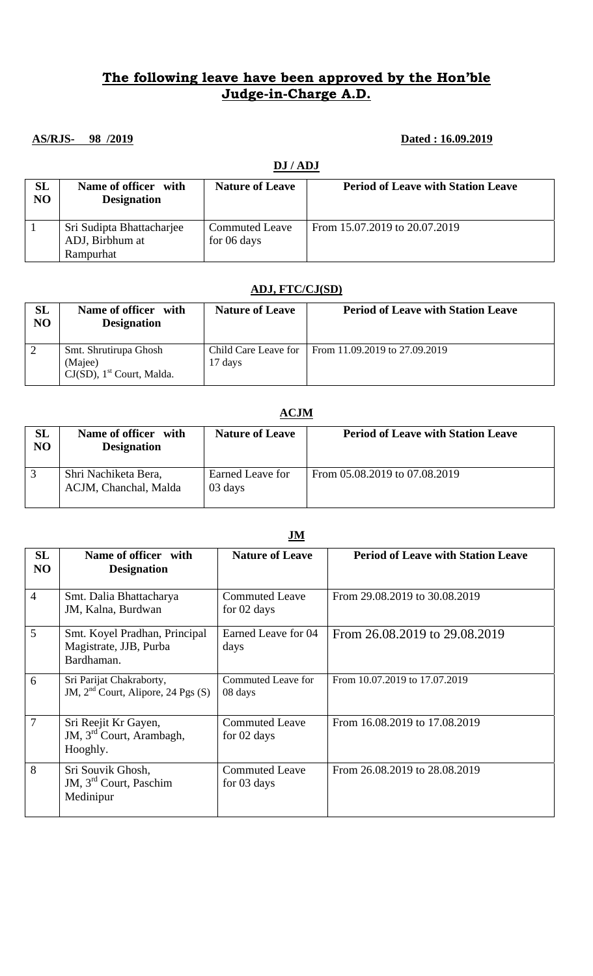## **The following leave have been approved by the Hon'ble Judge-in-Charge A.D.**

### **AS/RJS- 98 /2019 Dated : 16.09.2019**

### **DJ / ADJ**

| SL<br>N <sub>O</sub> | Name of officer with<br><b>Designation</b> | <b>Nature of Leave</b> | <b>Period of Leave with Station Leave</b> |
|----------------------|--------------------------------------------|------------------------|-------------------------------------------|
|                      | Sri Sudipta Bhattacharjee                  | <b>Commuted Leave</b>  | From 15.07.2019 to 20.07.2019             |
|                      | ADJ, Birbhum at                            | for 06 days            |                                           |
|                      | Rampurhat                                  |                        |                                           |

### **ADJ, FTC/CJ(SD)**

| SL<br>NO | Name of officer with<br><b>Designation</b>                                   | <b>Nature of Leave</b>          | <b>Period of Leave with Station Leave</b> |
|----------|------------------------------------------------------------------------------|---------------------------------|-------------------------------------------|
|          | Smt. Shrutirupa Ghosh<br>(Majee)<br>$CJ(SD)$ , 1 <sup>st</sup> Court, Malda. | Child Care Leave for<br>17 days | From 11.09.2019 to 27.09.2019             |

### **ACJM SL NO Name of officer with Designation Nature of Leave Period of Leave with Station Leave** 3 Shri Nachiketa Bera, ACJM, Chanchal, Malda Earned Leave for 03 days From 05.08.2019 to 07.08.2019

|                      | .                                                                        |                                      |                                           |  |
|----------------------|--------------------------------------------------------------------------|--------------------------------------|-------------------------------------------|--|
| SL<br>N <sub>O</sub> | Name of officer with<br><b>Designation</b>                               | <b>Nature of Leave</b>               | <b>Period of Leave with Station Leave</b> |  |
| $\overline{4}$       | Smt. Dalia Bhattacharya<br>JM, Kalna, Burdwan                            | <b>Commuted Leave</b><br>for 02 days | From 29.08.2019 to 30.08.2019             |  |
| $\overline{5}$       | Smt. Koyel Pradhan, Principal<br>Magistrate, JJB, Purba<br>Bardhaman.    | Earned Leave for 04<br>days          | From 26.08.2019 to 29.08.2019             |  |
| 6                    | Sri Parijat Chakraborty,<br>JM, $2nd$ Court, Alipore, 24 Pgs (S)         | <b>Commuted Leave for</b><br>08 days | From 10.07.2019 to 17.07.2019             |  |
| $\overline{7}$       | Sri Reejit Kr Gayen,<br>JM, 3 <sup>rd</sup> Court, Arambagh,<br>Hooghly. | <b>Commuted Leave</b><br>for 02 days | From 16.08.2019 to 17.08.2019             |  |
| 8                    | Sri Souvik Ghosh,<br>JM, 3 <sup>rd</sup> Court, Paschim<br>Medinipur     | <b>Commuted Leave</b><br>for 03 days | From 26.08.2019 to 28.08.2019             |  |

### **JM**